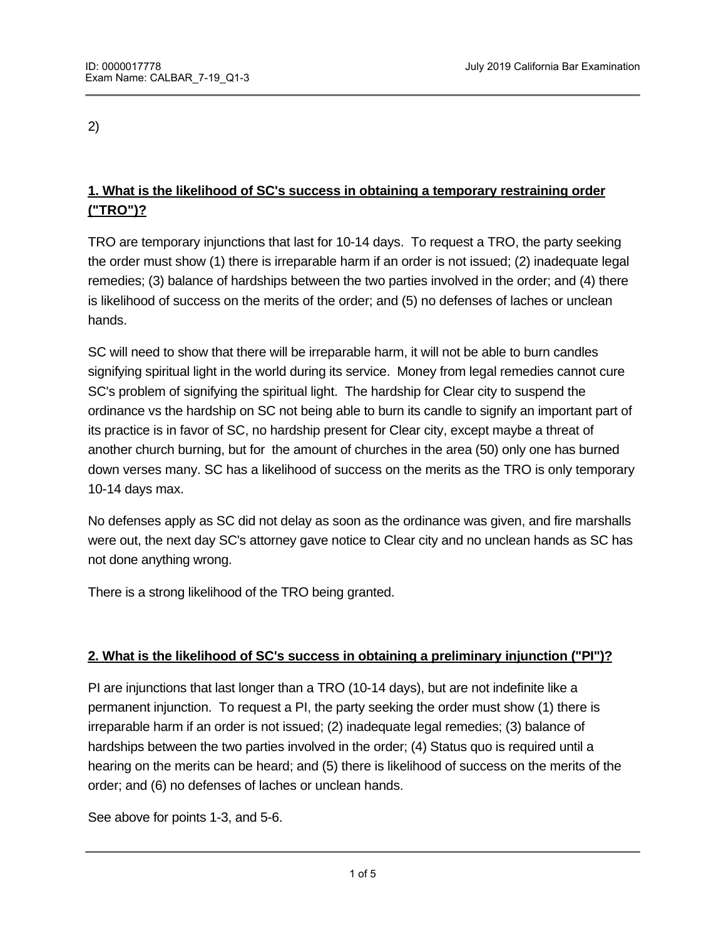2)

# **1. What is the likelihood of SC's success in obtaining a temporary restraining order ("TRO")?**

TRO are temporary injunctions that last for 10-14 days. To request a TRO, the party seeking the order must show (1) there is irreparable harm if an order is not issued; (2) inadequate legal remedies; (3) balance of hardships between the two parties involved in the order; and (4) there is likelihood of success on the merits of the order; and (5) no defenses of laches or unclean hands.

SC will need to show that there will be irreparable harm, it will not be able to burn candles signifying spiritual light in the world during its service. Money from legal remedies cannot cure SC's problem of signifying the spiritual light. The hardship for Clear city to suspend the ordinance vs the hardship on SC not being able to burn its candle to signify an important part of its practice is in favor of SC, no hardship present for Clear city, except maybe a threat of another church burning, but for the amount of churches in the area (50) only one has burned down verses many. SC has a likelihood of success on the merits as the TRO is only temporary 10-14 days max.

No defenses apply as SC did not delay as soon as the ordinance was given, and fire marshalls were out, the next day SC's attorney gave notice to Clear city and no unclean hands as SC has not done anything wrong.

There is a strong likelihood of the TRO being granted.

# **2. What is the likelihood of SC's success in obtaining a preliminary injunction ("PI")?**

PI are injunctions that last longer than a TRO (10-14 days), but are not indefinite like a permanent injunction. To request a PI, the party seeking the order must show (1) there is irreparable harm if an order is not issued; (2) inadequate legal remedies; (3) balance of hardships between the two parties involved in the order; (4) Status quo is required until a hearing on the merits can be heard; and (5) there is likelihood of success on the merits of the order; and (6) no defenses of laches or unclean hands.

See above for points 1-3, and 5-6.

 $A$  full trial on the merits would be required to trial on the merits would be required to truly see if  $\alpha$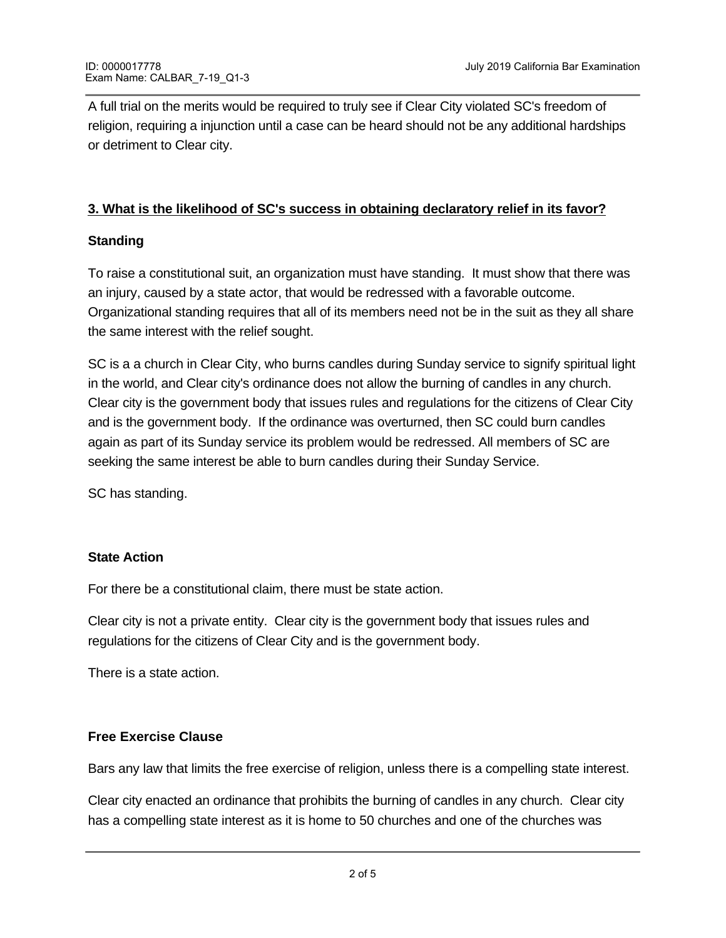A full trial on the merits would be required to truly see if Clear City violated SC's freedom of religion, requiring a injunction until a case can be heard should not be any additional hardships or detriment to Clear city.

### **3. What is the likelihood of SC's success in obtaining declaratory relief in its favor?**

### **Standing**

To raise a constitutional suit, an organization must have standing. It must show that there was an injury, caused by a state actor, that would be redressed with a favorable outcome. Organizational standing requires that all of its members need not be in the suit as they all share the same interest with the relief sought.

SC is a a church in Clear City, who burns candles during Sunday service to signify spiritual light in the world, and Clear city's ordinance does not allow the burning of candles in any church. Clear city is the government body that issues rules and regulations for the citizens of Clear City and is the government body. If the ordinance was overturned, then SC could burn candles again as part of its Sunday service its problem would be redressed. All members of SC are seeking the same interest be able to burn candles during their Sunday Service.

SC has standing.

#### **State Action**

For there be a constitutional claim, there must be state action.

Clear city is not a private entity. Clear city is the government body that issues rules and regulations for the citizens of Clear City and is the government body.

There is a state action.

### **Free Exercise Clause**

Bars any law that limits the free exercise of religion, unless there is a compelling state interest.

Clear city enacted an ordinance that prohibits the burning of candles in any church. Clear city has a compelling state interest as it is home to 50 churches and one of the churches was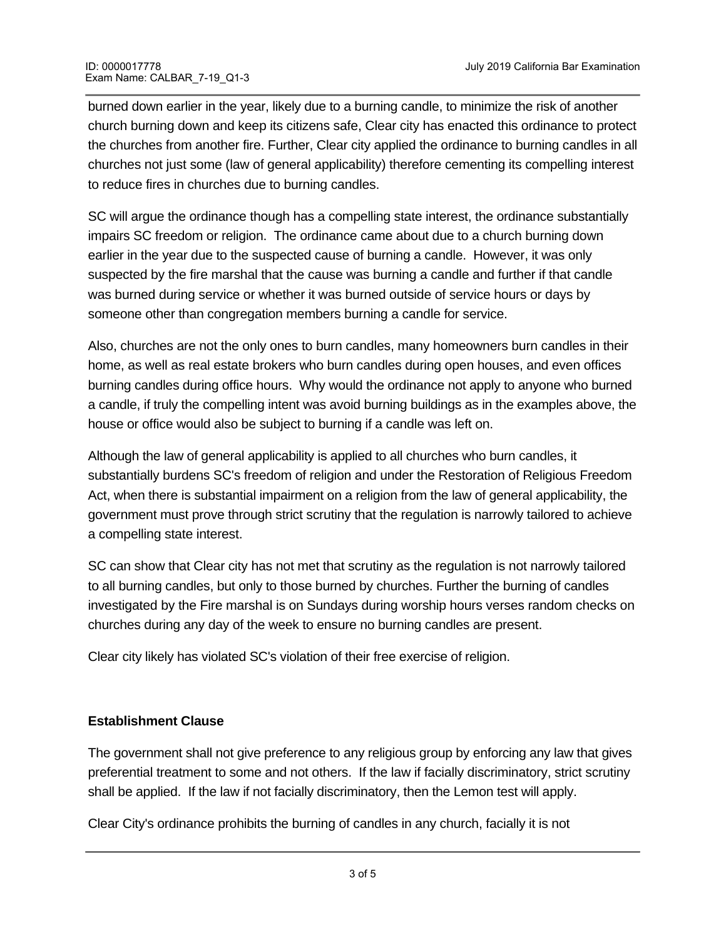burned down earlier in the year, likely due to a burning candle, to minimize the risk of another church burning down and keep its citizens safe, Clear city has enacted this ordinance to protect the churches from another fire. Further, Clear city applied the ordinance to burning candles in all churches not just some (law of general applicability) therefore cementing its compelling interest to reduce fires in churches due to burning candles.

SC will argue the ordinance though has a compelling state interest, the ordinance substantially impairs SC freedom or religion. The ordinance came about due to a church burning down earlier in the year due to the suspected cause of burning a candle. However, it was only suspected by the fire marshal that the cause was burning a candle and further if that candle was burned during service or whether it was burned outside of service hours or days by someone other than congregation members burning a candle for service.

Also, churches are not the only ones to burn candles, many homeowners burn candles in their home, as well as real estate brokers who burn candles during open houses, and even offices burning candles during office hours. Why would the ordinance not apply to anyone who burned a candle, if truly the compelling intent was avoid burning buildings as in the examples above, the house or office would also be subject to burning if a candle was left on.

Although the law of general applicability is applied to all churches who burn candles, it substantially burdens SC's freedom of religion and under the Restoration of Religious Freedom Act, when there is substantial impairment on a religion from the law of general applicability, the government must prove through strict scrutiny that the regulation is narrowly tailored to achieve a compelling state interest.

SC can show that Clear city has not met that scrutiny as the regulation is not narrowly tailored to all burning candles, but only to those burned by churches. Further the burning of candles investigated by the Fire marshal is on Sundays during worship hours verses random checks on churches during any day of the week to ensure no burning candles are present.

Clear city likely has violated SC's violation of their free exercise of religion.

# **Establishment Clause**

The government shall not give preference to any religious group by enforcing any law that gives preferential treatment to some and not others. If the law if facially discriminatory, strict scrutiny shall be applied. If the law if not facially discriminatory, then the Lemon test will apply.

Clear City's ordinance prohibits the burning of candles in any church, facially it is not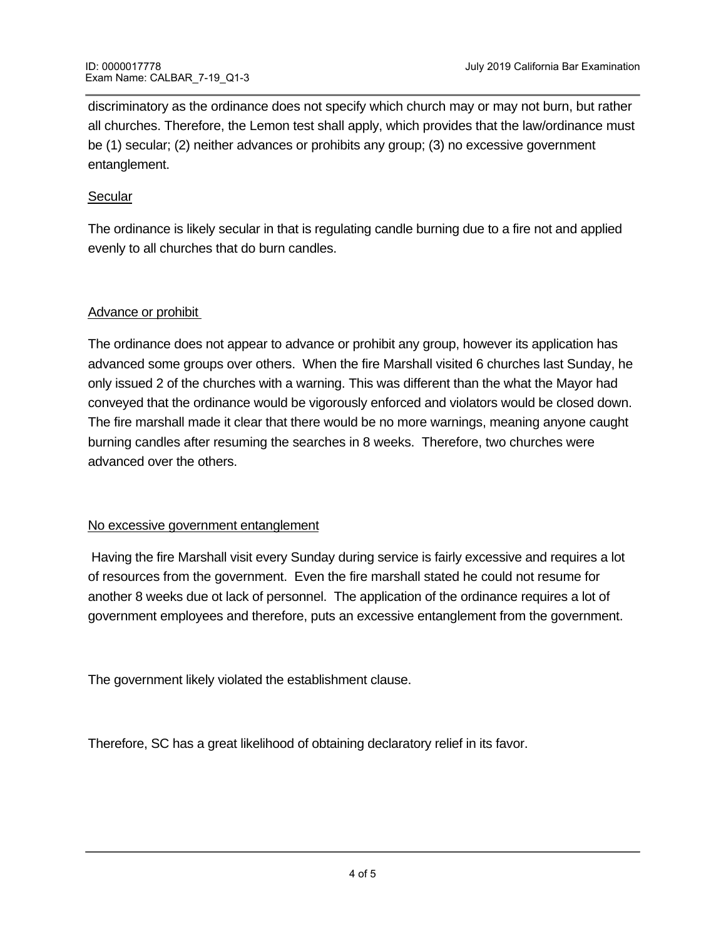discriminatory as the ordinance does not specify which church may or may not burn, but rather all churches. Therefore, the Lemon test shall apply, which provides that the law/ordinance must be (1) secular; (2) neither advances or prohibits any group; (3) no excessive government entanglement.

### **Secular**

The ordinance is likely secular in that is regulating candle burning due to a fire not and applied evenly to all churches that do burn candles.

### Advance or prohibit

The ordinance does not appear to advance or prohibit any group, however its application has advanced some groups over others. When the fire Marshall visited 6 churches last Sunday, he only issued 2 of the churches with a warning. This was different than the what the Mayor had conveyed that the ordinance would be vigorously enforced and violators would be closed down. The fire marshall made it clear that there would be no more warnings, meaning anyone caught burning candles after resuming the searches in 8 weeks. Therefore, two churches were advanced over the others.

#### No excessive government entanglement

<u>Question #2 Final Word Count = 1381</u>

 Having the fire Marshall visit every Sunday during service is fairly excessive and requires a lot of resources from the government. Even the fire marshall stated he could not resume for another 8 weeks due ot lack of personnel. The application of the ordinance requires a lot of government employees and therefore, puts an excessive entanglement from the government.

The government likely violated the establishment clause.

Therefore, SC has a great likelihood of obtaining declaratory relief in its favor.